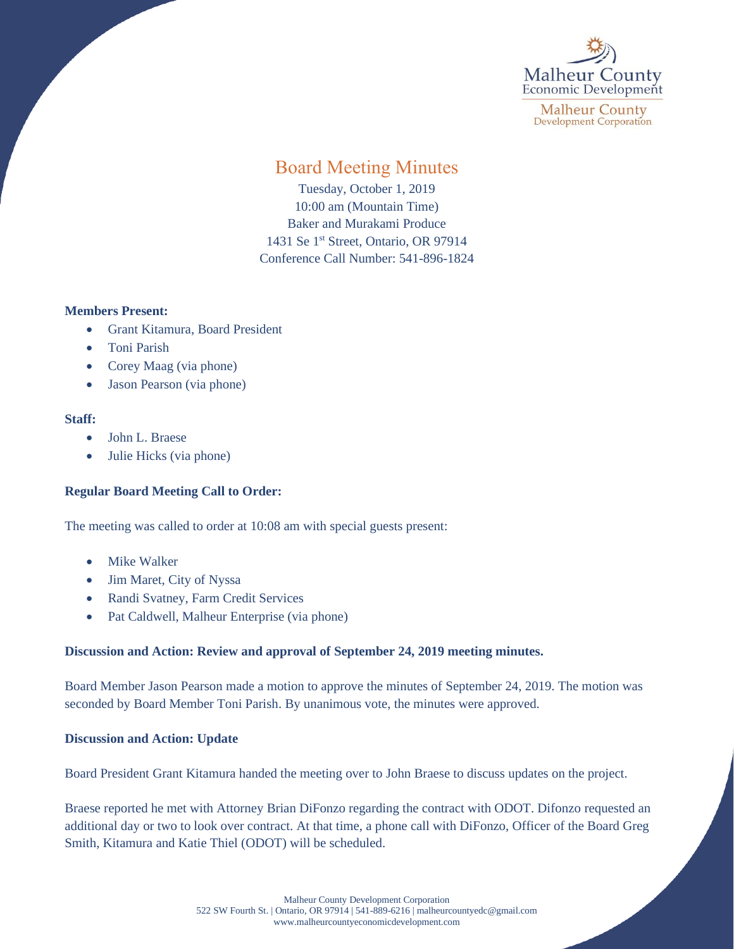

**Malheur County** Development Corporation

# Board Meeting Minutes

Tuesday, October 1, 2019 10:00 am (Mountain Time) Baker and Murakami Produce 1431 Se 1<sup>st</sup> Street, Ontario, OR 97914 Conference Call Number: 541-896-1824

### **Members Present:**

- Grant Kitamura, Board President
- Toni Parish
- Corey Maag (via phone)
- Jason Pearson (via phone)

### **Staff:**

- John L. Braese
- Julie Hicks (via phone)

# **Regular Board Meeting Call to Order:**

The meeting was called to order at 10:08 am with special guests present:

- Mike Walker
- Jim Maret, City of Nyssa
- Randi Svatney, Farm Credit Services
- Pat Caldwell, Malheur Enterprise (via phone)

### **Discussion and Action: Review and approval of September 24, 2019 meeting minutes.**

Board Member Jason Pearson made a motion to approve the minutes of September 24, 2019. The motion was seconded by Board Member Toni Parish. By unanimous vote, the minutes were approved.

## **Discussion and Action: Update**

Board President Grant Kitamura handed the meeting over to John Braese to discuss updates on the project.

Braese reported he met with Attorney Brian DiFonzo regarding the contract with ODOT. Difonzo requested an additional day or two to look over contract. At that time, a phone call with DiFonzo, Officer of the Board Greg Smith, Kitamura and Katie Thiel (ODOT) will be scheduled.